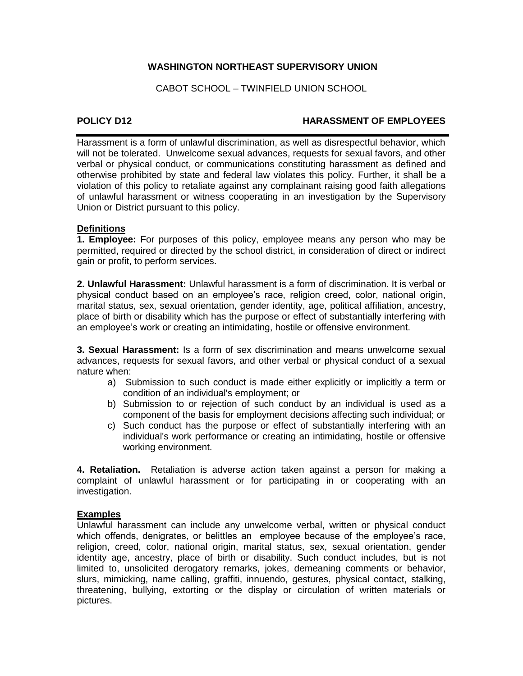# **WASHINGTON NORTHEAST SUPERVISORY UNION**

CABOT SCHOOL – TWINFIELD UNION SCHOOL

# **POLICY D12 HARASSMENT OF EMPLOYEES**

Harassment is a form of unlawful discrimination, as well as disrespectful behavior, which will not be tolerated. Unwelcome sexual advances, requests for sexual favors, and other verbal or physical conduct, or communications constituting harassment as defined and otherwise prohibited by state and federal law violates this policy. Further, it shall be a violation of this policy to retaliate against any complainant raising good faith allegations of unlawful harassment or witness cooperating in an investigation by the Supervisory Union or District pursuant to this policy.

# **Definitions**

**1. Employee:** For purposes of this policy, employee means any person who may be permitted, required or directed by the school district, in consideration of direct or indirect gain or profit, to perform services.

**2. Unlawful Harassment:** Unlawful harassment is a form of discrimination. It is verbal or physical conduct based on an employee's race, religion creed, color, national origin, marital status, sex, sexual orientation, gender identity, age, political affiliation, ancestry, place of birth or disability which has the purpose or effect of substantially interfering with an employee's work or creating an intimidating, hostile or offensive environment.

**3. Sexual Harassment:** Is a form of sex discrimination and means unwelcome sexual advances, requests for sexual favors, and other verbal or physical conduct of a sexual nature when:

- a) Submission to such conduct is made either explicitly or implicitly a term or condition of an individual's employment; or
- b) Submission to or rejection of such conduct by an individual is used as a component of the basis for employment decisions affecting such individual; or
- c) Such conduct has the purpose or effect of substantially interfering with an individual's work performance or creating an intimidating, hostile or offensive working environment.

**4. Retaliation.** Retaliation is adverse action taken against a person for making a complaint of unlawful harassment or for participating in or cooperating with an investigation.

# **Examples**

Unlawful harassment can include any unwelcome verbal, written or physical conduct which offends, denigrates, or belittles an employee because of the employee's race, religion, creed, color, national origin, marital status, sex, sexual orientation, gender identity age, ancestry, place of birth or disability. Such conduct includes, but is not limited to, unsolicited derogatory remarks, jokes, demeaning comments or behavior, slurs, mimicking, name calling, graffiti, innuendo, gestures, physical contact, stalking, threatening, bullying, extorting or the display or circulation of written materials or pictures.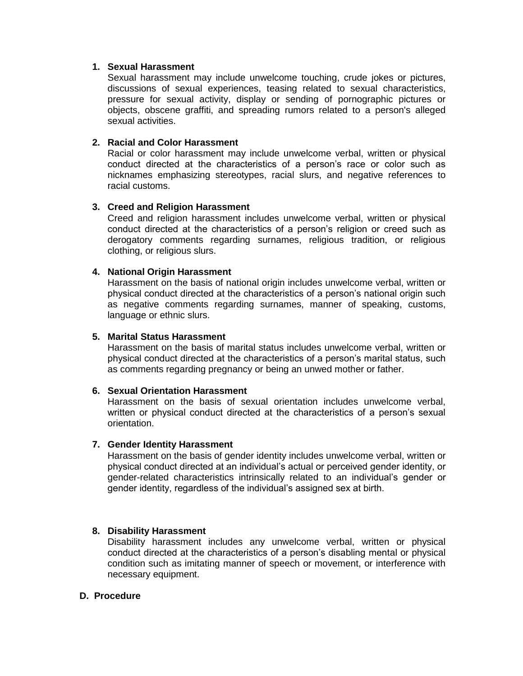# **1. Sexual Harassment**

Sexual harassment may include unwelcome touching, crude jokes or pictures, discussions of sexual experiences, teasing related to sexual characteristics, pressure for sexual activity, display or sending of pornographic pictures or objects, obscene graffiti, and spreading rumors related to a person's alleged sexual activities.

# **2. Racial and Color Harassment**

Racial or color harassment may include unwelcome verbal, written or physical conduct directed at the characteristics of a person's race or color such as nicknames emphasizing stereotypes, racial slurs, and negative references to racial customs.

# **3. Creed and Religion Harassment**

Creed and religion harassment includes unwelcome verbal, written or physical conduct directed at the characteristics of a person's religion or creed such as derogatory comments regarding surnames, religious tradition, or religious clothing, or religious slurs.

# **4. National Origin Harassment**

Harassment on the basis of national origin includes unwelcome verbal, written or physical conduct directed at the characteristics of a person's national origin such as negative comments regarding surnames, manner of speaking, customs, language or ethnic slurs.

#### **5. Marital Status Harassment**

Harassment on the basis of marital status includes unwelcome verbal, written or physical conduct directed at the characteristics of a person's marital status, such as comments regarding pregnancy or being an unwed mother or father.

#### **6. Sexual Orientation Harassment**

Harassment on the basis of sexual orientation includes unwelcome verbal, written or physical conduct directed at the characteristics of a person's sexual orientation.

#### **7. Gender Identity Harassment**

Harassment on the basis of gender identity includes unwelcome verbal, written or physical conduct directed at an individual's actual or perceived gender identity, or gender-related characteristics intrinsically related to an individual's gender or gender identity, regardless of the individual's assigned sex at birth.

#### **8. Disability Harassment**

Disability harassment includes any unwelcome verbal, written or physical conduct directed at the characteristics of a person's disabling mental or physical condition such as imitating manner of speech or movement, or interference with necessary equipment.

#### **D. Procedure**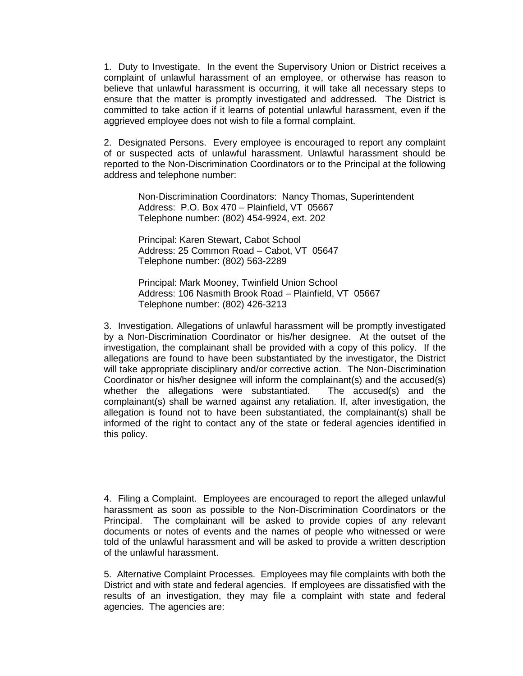1. Duty to Investigate. In the event the Supervisory Union or District receives a complaint of unlawful harassment of an employee, or otherwise has reason to believe that unlawful harassment is occurring, it will take all necessary steps to ensure that the matter is promptly investigated and addressed. The District is committed to take action if it learns of potential unlawful harassment, even if the aggrieved employee does not wish to file a formal complaint.

2. Designated Persons. Every employee is encouraged to report any complaint of or suspected acts of unlawful harassment. Unlawful harassment should be reported to the Non-Discrimination Coordinators or to the Principal at the following address and telephone number:

Non-Discrimination Coordinators: Nancy Thomas, Superintendent Address: P.O. Box 470 – Plainfield, VT 05667 Telephone number: (802) 454-9924, ext. 202

Principal: Karen Stewart, Cabot School Address: 25 Common Road – Cabot, VT 05647 Telephone number: (802) 563-2289

Principal: Mark Mooney, Twinfield Union School Address: 106 Nasmith Brook Road – Plainfield, VT 05667 Telephone number: (802) 426-3213

3. Investigation. Allegations of unlawful harassment will be promptly investigated by a Non-Discrimination Coordinator or his/her designee. At the outset of the investigation, the complainant shall be provided with a copy of this policy. If the allegations are found to have been substantiated by the investigator, the District will take appropriate disciplinary and/or corrective action. The Non-Discrimination Coordinator or his/her designee will inform the complainant(s) and the accused(s) whether the allegations were substantiated. The accused(s) and the complainant(s) shall be warned against any retaliation. If, after investigation, the allegation is found not to have been substantiated, the complainant(s) shall be informed of the right to contact any of the state or federal agencies identified in this policy.

4. Filing a Complaint. Employees are encouraged to report the alleged unlawful harassment as soon as possible to the Non-Discrimination Coordinators or the Principal. The complainant will be asked to provide copies of any relevant documents or notes of events and the names of people who witnessed or were told of the unlawful harassment and will be asked to provide a written description of the unlawful harassment.

5. Alternative Complaint Processes. Employees may file complaints with both the District and with state and federal agencies. If employees are dissatisfied with the results of an investigation, they may file a complaint with state and federal agencies. The agencies are: